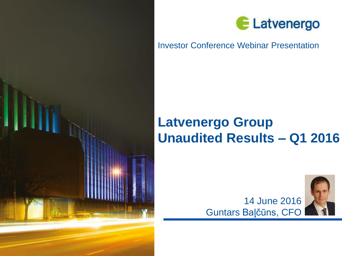



### Investor Conference Webinar Presentation

# **Latvenergo Group Unaudited Results – Q1 2016**



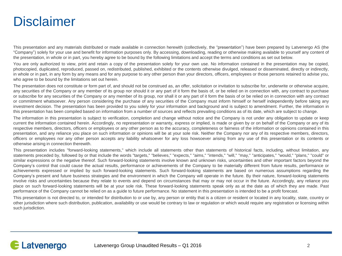## **Disclaimer**

This presentation and any materials distributed or made available in connection herewith (collectively, the "presentation") have been prepared by Latvenergo AS (the "Company") solely for your use and benefit for information purposes only. By accessing, downloading, reading or otherwise making available to yourself any content of the presentation, in whole or in part, you hereby agree to be bound by the following limitations and accept the terms and conditions as set out below.

You are only authorized to view, print and retain a copy of the presentation solely for your own use. No information contained in the presentation may be copied, photocopied, duplicated, reproduced, passed on, redistributed, published, exhibited or the contents otherwise divulged, released or disseminated, directly or indirectly, in whole or in part, in any form by any means and for any purpose to any other person than your directors, officers, employees or those persons retained to advise you, who agree to be bound by the limitations set out herein.

The presentation does not constitute or form part of, and should not be construed as, an offer, solicitation or invitation to subscribe for, underwrite or otherwise acquire, any securities of the Company or any member of its group nor should it or any part of it form the basis of, or be relied on in connection with, any contract to purchase or subscribe for any securities of the Company or any member of its group, nor shall it or any part of it form the basis of or be relied on in connection with any contract or commitment whatsoever. Any person considering the purchase of any securities of the Company must inform himself or herself independently before taking any investment decision. The presentation has been provided to you solely for your information and background and is subject to amendment. Further, the information in this presentation has been compiled based on information from a number of sources and reflects prevailing conditions as of its date, which are subject to change.

The information in this presentation is subject to verification, completion and change without notice and the Company is not under any obligation to update or keep current the information contained herein. Accordingly, no representation or warranty, express or implied, is made or given by or on behalf of the Company or any of its respective members, directors, officers or employees or any other person as to the accuracy, completeness or fairness of the information or opinions contained in this presentation, and any reliance you place on such information or opinions will be at your sole risk. Neither the Company nor any of its respective members, directors, officers or employees nor any other person accepts any liability whatsoever for any loss howsoever arising from any use of this presentation or its contents or otherwise arising in connection therewith.

This presentation includes "forward-looking statements," which include all statements other than statements of historical facts, including, without limitation, any statements preceded by, followed by or that include the words "targets," "believes," "expects," "aims," "intends," "will," "may," "anticipates," "would," "plans," "could" or similar expressions or the negative thereof. Such forward-looking statements involve known and unknown risks, uncertainties and other important factors beyond the Company's control that could cause the actual results, performance or achievements of the Company to be materially different from future results, performance or achievements expressed or implied by such forward-looking statements. Such forward-looking statements are based on numerous assumptions regarding the Company's present and future business strategies and the environment in which the Company will operate in the future. By their nature, forward-looking statements involve risks and uncertainties because they relate to events and depend on circumstances that may or may not occur in the future. Accordingly, any reliance you place on such forward-looking statements will be at your sole risk. These forward-looking statements speak only as at the date as of which they are made. Past performance of the Company cannot be relied on as a guide to future performance. No statement in this presentation is intended to be a profit forecast.

This presentation is not directed to, or intended for distribution to or use by, any person or entity that is a citizen or resident or located in any locality, state, country or other jurisdiction where such distribution, publication, availability or use would be contrary to law or regulation or which would require any registration or licensing within such jurisdiction.

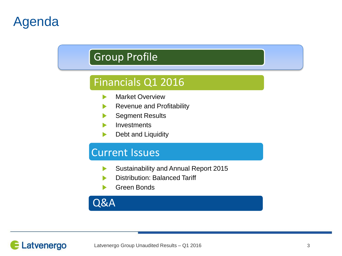# Agenda

## Group Profile

## Financials Q1 2016

- Market Overview  $\blacktriangleright$
- Revenue and Profitability
- Segment Results
- Investments
- Debt and Liquidity

## Current Issues

- Sustainability and Annual Report 2015  $\blacktriangleright$
- Distribution: Balanced Tariff
- Green Bonds

## Q&A

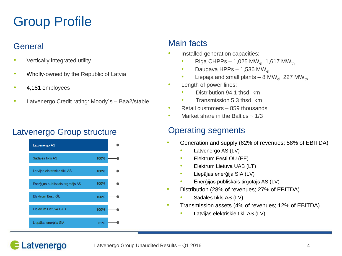# Group Profile

## **General**

- Vertically integrated utility
- Wholly-owned by the Republic of Latvia
- 4,181 employees
- Latvenergo Credit rating: Moody's Baa2/stable

## Latvenergo Group structure **Conservation Containst Conservation** Conservation Cataloguents



### Main facts

- Installed generation capacities:
	- Riga CHPPs 1,025 MW<sub>ol</sub>; 1,617 MW<sub>th</sub>
	- Daugava HPPs 1,536 MW<sub>el</sub>
	- Liepaja and small plants 8 MW<sub>el</sub>; 227 MW<sub>th</sub>
- Length of power lines:
	- Distribution 94.1 thsd. km
	- Transmission 5.3 thsd. km
- Retail customers 859 thousands
- Market share in the Baltics  $\sim 1/3$

- Generation and supply (62% of revenues; 58% of EBITDA)
	- Latvenergo AS (LV)
	- Elektrum Eesti OU (EE)
	- Elektrum Lietuva UAB (LT)
	- Liepājas enerģija SIA (LV)
	- Enerģijas publiskais tirgotājs AS (LV)
- Distribution (28% of revenues; 27% of EBITDA)
	- Sadales tīkls AS (LV)
- Transmission assets (4% of revenues; 12% of EBITDA)
	- Latvijas elektriskie tīkli AS (LV)

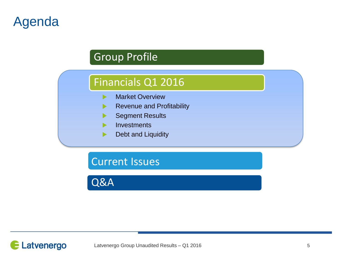# Agenda

## Group Profile

## Financials Q1 2016

- Market Overview  $\blacktriangleright$
- Revenue and Profitability  $\blacktriangleright$
- Segment Results
- **Investments**
- Debt and Liquidity ▶

## Current Issues

Q&A

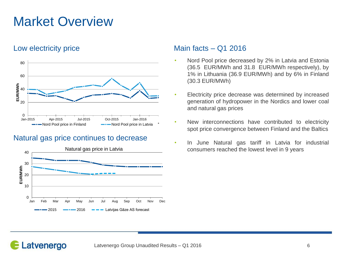# Market Overview

Latvenergo



#### Natural gas price continues to decrease



#### Low electricity price Main facts – Q1 2016

- Nord Pool price decreased by 2% in Latvia and Estonia (36.5 EUR/MWh and 31.8 EUR/MWh respectively), by 1% in Lithuania (36.9 EUR/MWh) and by 6% in Finland (30.3 EUR/MWh)
- Electricity price decrease was determined by increased generation of hydropower in the Nordics and lower coal and natural gas prices
- New interconnections have contributed to electricity spot price convergence between Finland and the Baltics
- In June Natural gas tariff in Latvia for industrial consumers reached the lowest level in 9 years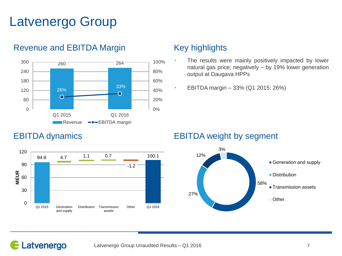# Latvenergo Group



#### Revenue and EBITDA Margin Key highlights

- The results were mainly positively impacted by lower natural gas price; negatively – by 19% lower generation output at Daugava HPPs
- EBITDA margin 33% (Q1 2015: 26%)



### EBITDA dynamics EBITDA weight by segment

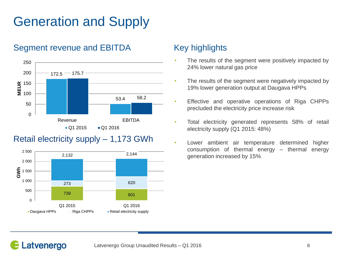# Generation and Supply

### Segment revenue and EBITDA Key highlights



## Retail electricity supply – 1,173 GWh



- The results of the segment were positively impacted by 24% lower natural gas price
- The results of the segment were negatively impacted by 19% lower generation output at Daugava HPPs
- Effective and operative operations of Riga CHPPs precluded the electricity price increase risk
- Total electricity generated represents 58% of retail electricity supply (Q1 2015: 48%)
- Lower ambient air temperature determined higher consumption of thermal energy – thermal energy generation increased by 15%

## Latvenergo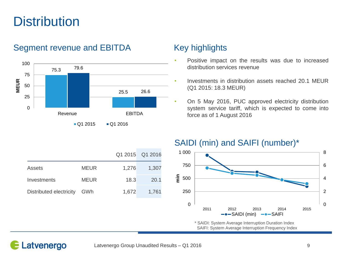# **Distribution**

#### 75.3 25.5 79.6 26.6 0 25 50 75 100 Revenue **EBITDA MEUR**

### Segment revenue and EBITDA Key highlights



- Positive impact on the results was due to increased distribution services revenue
- Investments in distribution assets reached 20.1 MEUR (Q1 2015: 18.3 MEUR)
- On 5 May 2016, PUC approved electricity distribution system service tariff, which is expected to come into force as of 1 August 2016

### SAIDI (min) and SAIFI (number)\*



\* SAIDI: System Average Interruption Duration Index SAIFI: System Average Interruption Frequency Index



### Latvenergo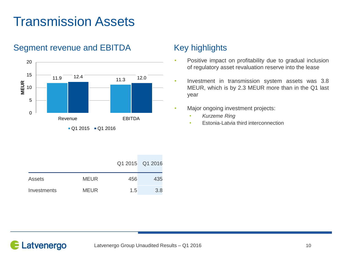# Transmission Assets



### Segment revenue and EBITDA Key highlights

- Positive impact on profitability due to gradual inclusion of regulatory asset revaluation reserve into the lease
- Investment in transmission system assets was 3.8 MEUR, which is by 2.3 MEUR more than in the Q1 last year
- Major ongoing investment projects:
	- *Kurzeme Ring*
	- Estonia-Latvia third interconnection

|             |             |     | Q1 2015 Q1 2016 |
|-------------|-------------|-----|-----------------|
| Assets      | <b>MEUR</b> | 456 | 435             |
| Investments | <b>MEUR</b> | 1.5 | 3.8             |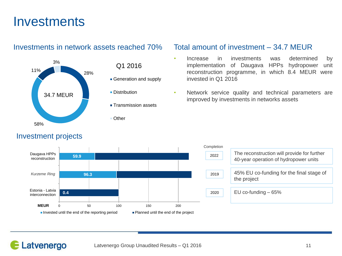## **Investments**

#### Investments in network assets reached 70% Total amount of investment – 34.7 MEUR



#### Investment projects

- Generation and supply
- **Distribution**
- **Transmission assets**
- Other

- Increase in investments was determined by implementation of Daugava HPPs hydropower unit reconstruction programme, in which 8.4 MEUR were invested in Q1 2016
- Network service quality and technical parameters are improved by investments in networks assets



| etion |                                                                                      |
|-------|--------------------------------------------------------------------------------------|
| 22    | The reconstruction will provide for further<br>40-year operation of hydropower units |
| 19    | 45% EU co-funding for the final stage of<br>the project                              |
| 20    | EU co-funding $-65%$                                                                 |
|       |                                                                                      |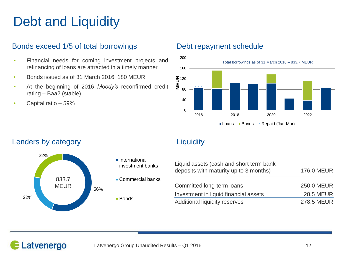# Debt and Liquidity

#### Bonds exceed 1/5 of total borrowings Debt repayment schedule

- Financial needs for coming investment projects and refinancing of loans are attracted in a timely manner
- Bonds issued as of 31 March 2016: 180 MEUR
- At the beginning of 2016 *Moody's* reconfirmed credit rating – Baa2 (stable)
- Capital ratio 59%



### Lenders by category **Liquidity Liquidity**



- **International** investment banks
- Commercial banks
- Bonds

| Liquid assets (cash and short term bank<br>deposits with maturity up to 3 months) | <b>176.0 MEUR</b> |
|-----------------------------------------------------------------------------------|-------------------|
|                                                                                   |                   |
| Committed long-term loans                                                         | 250.0 MEUR        |
| Investment in liquid financial assets                                             | <b>28.5 MEUR</b>  |
| Additional liquidity reserves                                                     | <b>278.5 MEUR</b> |
|                                                                                   |                   |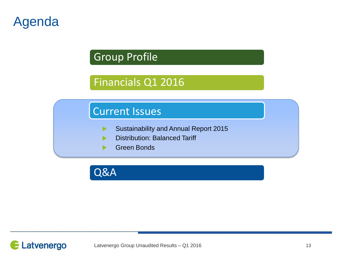# Agenda

## Group Profile

## Financials Q1 2016

## Current Issues

- Sustainability and Annual Report 2015  $\blacktriangleright$
- Distribution: Balanced Tariff
- Green Bonds

Q&A

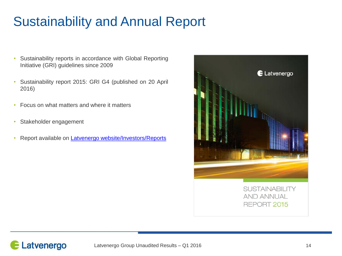# Sustainability and Annual Report

- Sustainability reports in accordance with Global Reporting Initiative (GRI) guidelines since 2009
- Sustainability report 2015: GRI G4 (published on 20 April 2016)
- Focus on what matters and where it matters
- Stakeholder engagement
- Report available on Latvenergo [website/Investors/Reports](http://www.latvenergo.lv/eng/investors/reports/)



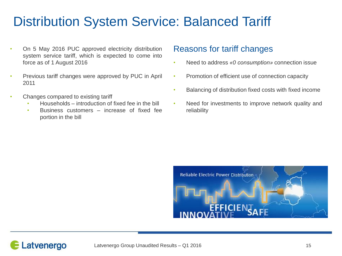# Distribution System Service: Balanced Tariff

- On 5 May 2016 PUC approved electricity distribution system service tariff, which is expected to come into force as of 1 August 2016
- Previous tariff changes were approved by PUC in April 2011
- Changes compared to existing tariff
	- Households introduction of fixed fee in the bill
	- Business customers increase of fixed fee portion in the bill

### Reasons for tariff changes

- Need to address *«0 consumption»* connection issue
- Promotion of efficient use of connection capacity
- Balancing of distribution fixed costs with fixed income
- Need for investments to improve network quality and reliability



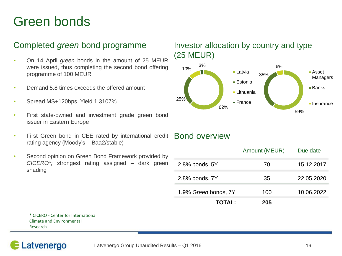# Green bonds

- On 14 April *green* bonds in the amount of 25 MEUR were issued, thus completing the second bond offering programme of 100 MEUR
- Demand 5.8 times exceeds the offered amount
- Spread MS+120bps, Yield 1.3107%
- First state-owned and investment grade green bond issuer in Eastern Europe
- First Green bond in CEE rated by international credit Bond overview rating agency (Moody's – Baa2/stable)
- Second opinion on Green Bond Framework provided by *CICERO\*; s*trongest rating assigned – dark green shading

### Completed *green* bond programme Investor allocation by country and type (25 MEUR)



|                      | Amount (MEUR) | Due date   |
|----------------------|---------------|------------|
| 2.8% bonds, 5Y       | 70            | 15.12.2017 |
| 2.8% bonds, 7Y       | 35            | 22.05.2020 |
| 1.9% Green bonds, 7Y | 100           | 10.06.2022 |
| <b>TOTAL:</b>        | 205           |            |

\* CICERO - Center for International Climate and Environmental Research

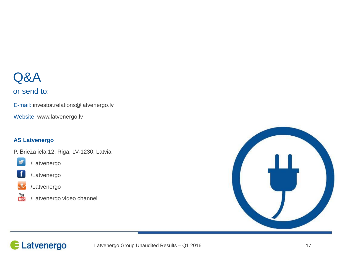# Q&A

### or send to:

E-mail: investor.relations@latvenergo.lv

Website: www.latvenergo.lv

#### **AS Latvenergo**

P. Brieža iela 12, Riga, LV-1230, Latvia



/Latvenergo



/Latvenergo



/Latvenergo



/Latvenergo video channel



## Latvenergo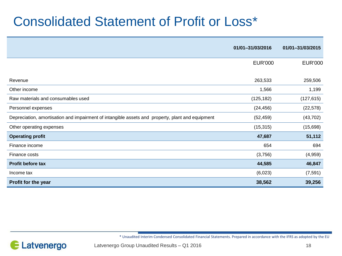# Consolidated Statement of Profit or Loss\*

|                                                                                                  | 01/01-31/03/2016 | 01/01-31/03/2015 |
|--------------------------------------------------------------------------------------------------|------------------|------------------|
|                                                                                                  | <b>EUR'000</b>   | <b>EUR'000</b>   |
|                                                                                                  |                  |                  |
| Revenue                                                                                          | 263,533          | 259,506          |
| Other income                                                                                     | 1,566            | 1,199            |
| Raw materials and consumables used                                                               | (125, 182)       | (127, 615)       |
| Personnel expenses                                                                               | (24, 456)        | (22, 578)        |
| Depreciation, amortisation and impairment of intangible assets and property, plant and equipment | (52, 459)        | (43, 702)        |
| Other operating expenses                                                                         | (15, 315)        | (15,698)         |
| <b>Operating profit</b>                                                                          | 47,687           | 51,112           |
| Finance income                                                                                   | 654              | 694              |
| Finance costs                                                                                    | (3,756)          | (4,959)          |
| <b>Profit before tax</b>                                                                         | 44,585           | 46,847           |
| Income tax                                                                                       | (6,023)          | (7, 591)         |
| Profit for the year                                                                              | 38,562           | 39,256           |

\* Unaudited Interim Condensed Consolidated Financial Statements. Prepared in accordance with the IFRS as adopted by the EU

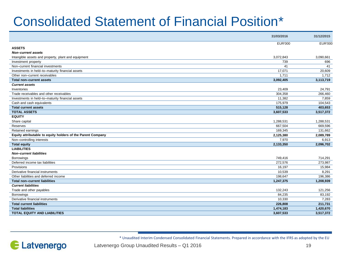# Consolidated Statement of Financial Position\*

|                                                             | 31/03/2016     | 31/12/2015     |
|-------------------------------------------------------------|----------------|----------------|
|                                                             | <b>EUR'000</b> | <b>EUR'000</b> |
| <b>ASSETS</b>                                               |                |                |
| <b>Non-current assets</b>                                   |                |                |
| Intangible assets and property, plant and equipment         | 3,072,843      | 3,090,661      |
| Investment property                                         | 739            | 696            |
| Non-current financial investments                           | 41             | 41             |
| Investments in held-to-maturity financial assets            | 17,071         | 20,609         |
| Other non-current receivables                               | 1,711          | 1,712          |
| Total non-current assets                                    | 3,092,405      | 3,113,719      |
| <b>Current assets</b>                                       |                |                |
| Inventories                                                 | 23,409         | 24,791         |
| Trade receivables and other receivables                     | 304,358        | 266,460        |
| Investments in held-to-maturity financial assets            | 11,382         | 7.859          |
| Cash and cash equivalents                                   | 175,979        | 104,543        |
| <b>Total current assets</b>                                 | 515,128        | 403,653        |
| <b>TOTAL ASSETS</b>                                         | 3,607,533      | 3,517,372      |
| <b>EQUITY</b>                                               |                |                |
| Share capital                                               | 1,288,531      | 1,288,531      |
| Reserves                                                    | 667,504        | 669,596        |
| Retained earnings                                           | 169,345        | 131,662        |
| Equity attributable to equity holders of the Parent Company | 2,125,380      | 2,089,789      |
| Non-controlling interests                                   | 7,970          | 6,913          |
| <b>Total equity</b>                                         | 2,133,350      | 2,096,702      |
| <b>LIABILITIES</b>                                          |                |                |
| <b>Non-current liabilities</b>                              |                |                |
| <b>Borrowings</b>                                           | 749,416        | 714,291        |
| Deferred income tax liabilities                             | 272,576        | 273,987        |
| Provisions                                                  | 16,197         | 15,984         |
| Derivative financial instruments                            | 10,539         | 8.291          |
| Other liabilities and deferred income                       | 198.647        | 196.386        |
| Total non-current liabilities                               | 1,247,375      | 1,208,939      |
| <b>Current liabilities</b>                                  |                |                |
| Trade and other payables                                    | 132,243        | 121,256        |
| Borrowings                                                  | 84.235         | 83,192         |
| Derivative financial instruments                            | 10,330         | 7,283          |
| <b>Total current liabilities</b>                            | 226,808        | 211,731        |
| <b>Total liabilities</b>                                    | 1,474,183      | 1,420,670      |
| <b>TOTAL EQUITY AND LIABILITIES</b>                         | 3,607,533      | 3.517.372      |
|                                                             |                |                |

\* Unaudited Interim Condensed Consolidated Financial Statements. Prepared in accordance with the IFRS as adopted by the EU